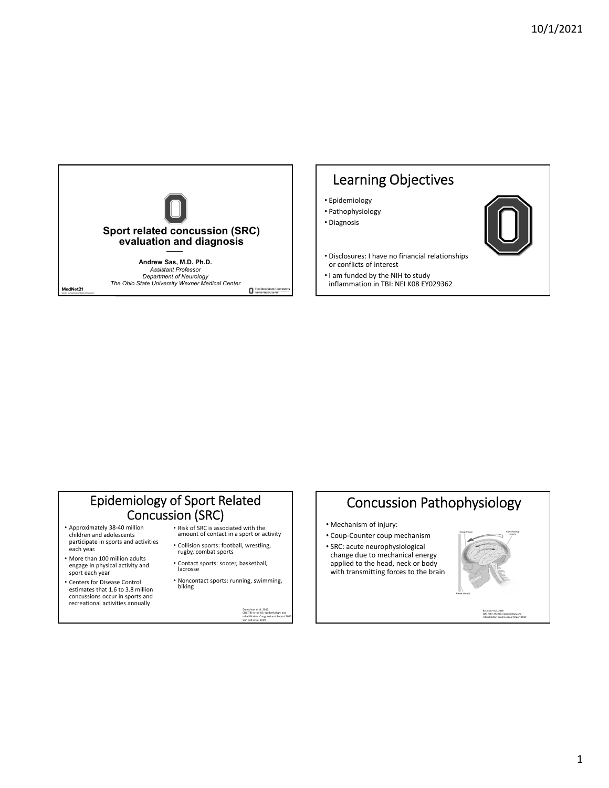

# Learning Objectives

- Epidemiology
- Pathophysiology
- Diagnosis



- Disclosures: I have no financial relationships or conflicts of interest
- I am funded by the NIH to study inflammation in TBI: NEI K08 EY029362

## Epidemiology of Sport Related Concussion (SRC)

- Approximately 38‐40 million children and adolescents participate in sports and activities each year.
- More than 100 million adults engage in physical activity and sport each year
- Centers for Disease Control estimates that 1.6 to 3.8 million concussions occur in sports and recreational activities annually
- Risk of SRC is associated with the amount of contact in <sup>a</sup> sport or activity
- Collision sports: football, wrestling, rugby, combat sports
- Contact sports: soccer, basketball, lacrosse
- Noncontact sports: running, swimming, biking

Daneshvar et al. 2012. CDC TBI in the US; epidemiology and rehabilitation Congressional Report 2015 Van Pelt et al. 2019

# Concussion Pathophysiology

- Mechanism of injury:
- Coup‐Counter coup mechanism • SRC: acute neurophysiological change due to mechanical energy applied to the head, neck or body with transmitting forces to the brain



Bazarian et al. 2018 CDC TBI in the US; epidemiology and rehabilitation Congressional Report 2015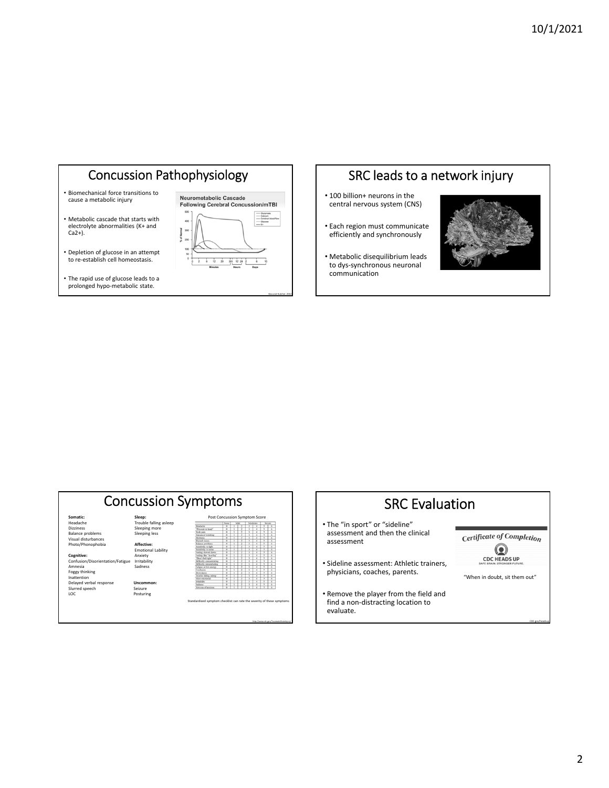## Concussion Pathophysiology

- Biomechanical force transitions to cause a metabolic injury
- Metabolic cascade that starts with electrolyte abnormalities (K+ and  $Ca<sub>2+</sub>$ ).
- Depletion of glucose in an attempt to re‐establish cell homeostasis.
- The rapid use of glucose leads to a prolonged hypo‐metabolic state.



Giza and Kutcher. 2014

## SRC leads to a network injury

- 100 billion+ neurons in the central nervous system (CNS)
- Each region must communicate efficiently and synchronously
- Metabolic disequilibrium leads to dys‐synchronous neuronal communication



#### Concussion Symptoms **Somatic: Sleep:** Sleep:<br>Trouble falling asleep<br>Sleeping more<br>Sleeping less Dizziness Sleeping more Balance problems Sleeping less Visual disturbances Photo/Phonophobia **Affective:** Emotional Lability **Cognitive:** Anxiety Confusion/Disorientation/Fatigue Irritability Amnesia Sadness Foggy thinking<br>Delayed verbal response **Uncommon:**<br>Slurred speech Seizure<br>LOC Posturing Post Co

Standardized symptom checklist can rate the severity of these symptoms



#### 2

CDC.gov/headsup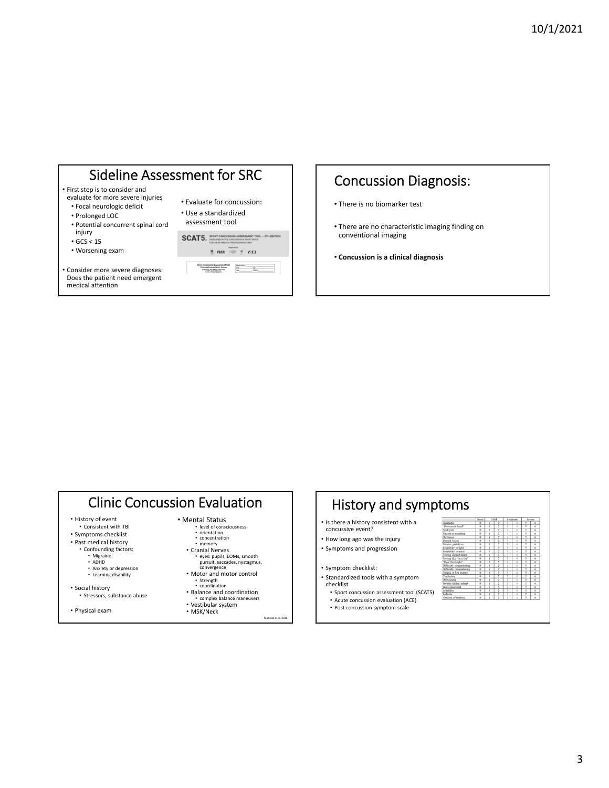# Sideline Assessment for SRC

- First step is to consider and evaluate for more severe injuries
- Focal neurologic deficit
- Prolonged LOC
- Potential concurrent spinal cord
- injury
- GCS < 15
- Worsening exam

• Consider more severe diagnoses: Does the patient need emergent medical attention

| • Evaluate for concussion: |
|----------------------------|
| • Use a standardized       |

assessment tool



## Concussion Diagnosis:

- There is no biomarker test
- There are no characteristic imaging finding on conventional imaging
- **Concussion is a clinical diagnosis**

## Clinic Concussion Evaluation

• History of event

• Consistent with TBI

- Symptoms checklist • Past medical history
- Confounding factors:
	- Migraine ADHD
	-
	- Anxiety or depression • Learning disability
- Social history
- Stressors, substance abuse
- Physical exam
- Mental Status • level of consciousness • orientation • concentration • memory
	- Cranial Nerves • eyes: pupils, EOMs, smooth pursuit, saccades, nystagmus, convergence
	- Motor and motor control Strength coordination
	- Balance and coordination complex balance maneuvers Vestibular system

• MSK/Neck

Matusak et al. 2016

#### History and symptoms • Is there a history consistent with a concussive event? • How long ago was the injury • Symptoms and progression

- Symptom checklist:
- Standardized tools with a symptom checklist
	- Sport concussion assessment tool (SCAT5) • Acute concussion evaluation (ACE)
	- Post concussion symptom scale

|                                 | None                     |   | Mild |   | Moderate |   | Severe                   |
|---------------------------------|--------------------------|---|------|---|----------|---|--------------------------|
| Inadache                        | $\alpha$                 | ï |      | 3 | ä        | 3 | $\epsilon$               |
| Pressure in head"               | ö                        |   | ž    | ī | z        | 3 | z                        |
| Veck pain                       | a                        | I | ī    | ١ | 7        | 3 | 7                        |
| <b>Sausea</b> or vomiting       | $\overline{\phantom{a}}$ | Ī | ī    | ī | 7        | 3 | z                        |
| <b>Dizziness</b>                | ō                        | Ï | ī    | ١ | z        | 3 | 7                        |
| Blurred vision                  | ö                        | ī | ž    | ī | z        | ٦ | z                        |
| <b>Jalance</b> problems         | $\circ$                  | ï | 3    | 3 | 7        | 3 | $\epsilon$               |
| sensitivity to light            | ō                        | ī | ž    | ī | 7        | 3 | x                        |
| sensitivity to noise            | $\alpha$                 | ï | 3    | ī | ×        | 3 | 7                        |
| eeling slowed down              | $\overline{\phantom{a}}$ | ī | ž    | ī | 7        | 3 | $\overline{\phantom{a}}$ |
| 'eeling like "in a fog"         | n                        |   | ī    | t | z        | 3 | 7                        |
| 'Don't feel right"              | $\overline{\circ}$       | ī |      | ï | z        | ζ | 7                        |
| <b>Difficulty</b> concentrating | ö                        |   | ī    | ĭ | ă        | 3 | 6                        |
| <b>Difficulty</b> remembering   | ō                        |   |      | ī | z        | 3 | x                        |
| atigue or low energy            | ö                        |   | ī    | t | ä        | 3 | 6                        |
| <b>Confusion</b>                | $\overline{0}$           | ī | Ï    | ī | 7        | 3 | z                        |
| <b>Jeowyiness</b>               | n                        | I | 3    | 3 | 7        | 3 | 6                        |
| rouble falling asleep           | $\overline{0}$           | ī | 3    | ī | z        | 3 | 76                       |
| More emotional                  | $\Omega$                 | ī | 3    | 3 | 7        | 3 | 6                        |
| rritability                     | $\overline{0}$           | ī | ž    | ٦ | z        | 3 | 76                       |
| <b>iadness</b>                  | $\overline{\circ}$       | I | Ξ    | ī | 7        | 3 | z                        |
| <b>Corvous</b> of anxious       | ö                        | ī | 3    | ĭ | ï        | ٦ | 7                        |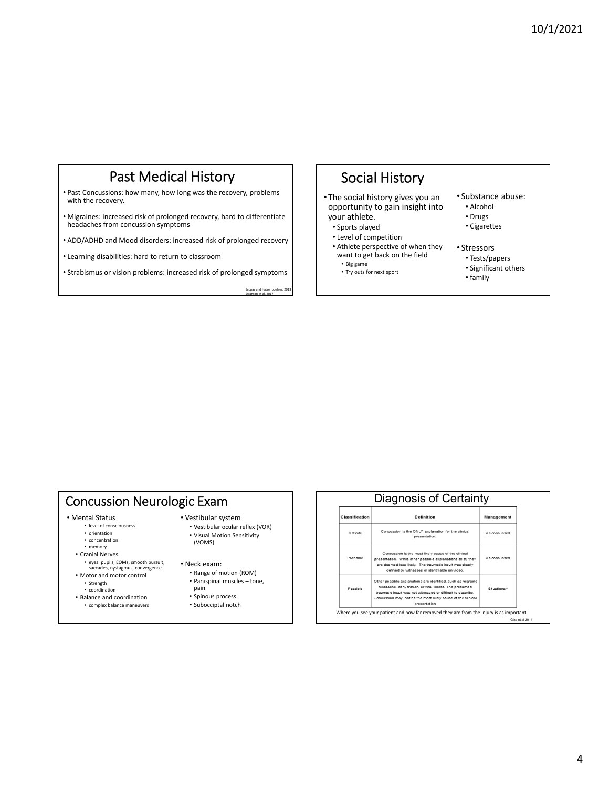## Past Medical History

• Past Concussions: how many, how long was the recovery, problems with the recovery.

• Migraines: increased risk of prolonged recovery, hard to differentiate headaches from concussion symptoms

• ADD/ADHD and Mood disorders: increased risk of prolonged recovery

• Learning disabilities: hard to return to classroom

• Strabismus or vision problems: increased risk of prolonged symptoms

Scopaz and Hatzenbuehler; 2013 Swanson et al. 2017

## Social History

• The social history gives you an opportunity to gain insight into your athlete.

- Sports played
- Level of competition
- Athlete perspective of when they want to get back on the field
- Big game • Try outs for next sport
- 

#### • Substance abuse:

- Alcohol
- Drugs
- Cigarettes
- Stressors
	- Tests/papers
	- Significant others
	- family

## Concussion Neurologic Exam

• Mental Status

- level of consciousness • orientation
- 
- concentration • memory
- Cranial Nerves

• eyes: pupils, EOMs, smooth pursuit, saccades, nystagmus, convergence

- Motor and motor control • Strength
- coordination
- Balance and coordination
- complex balance maneuvers

#### • Vestibular system

• Vestibular ocular reflex (VOR) • Visual Motion Sensitivity (VOMS)

#### • Neck exam:

- Range of motion (ROM)
- Paraspinal muscles tone, pain
- Spinous process
- Subocciptal notch

| <b>Classification</b> | Definition                                                                                                                                                                                                                                                           | Management   |  |
|-----------------------|----------------------------------------------------------------------------------------------------------------------------------------------------------------------------------------------------------------------------------------------------------------------|--------------|--|
| Definite              | Concussion is the ONLY explanation for the clinical<br>presentation.                                                                                                                                                                                                 | As concussed |  |
| Probable              | Concussion is the most likely cause of the clinical<br>presentation. While other possible explanations exist, they<br>are deemed less likely. The traumatic insult was clearly<br>defined by witnesses or identifiable on video.                                     | As concussed |  |
| Possible              | Other possible explanations are identified, such as migraine<br>headache, dehydration, or viral illness. The presumed<br>traumatic insult was not witnessed or difficult to describe.<br>Concussion may not be the most likely cause of the clinical<br>presentation | Situational* |  |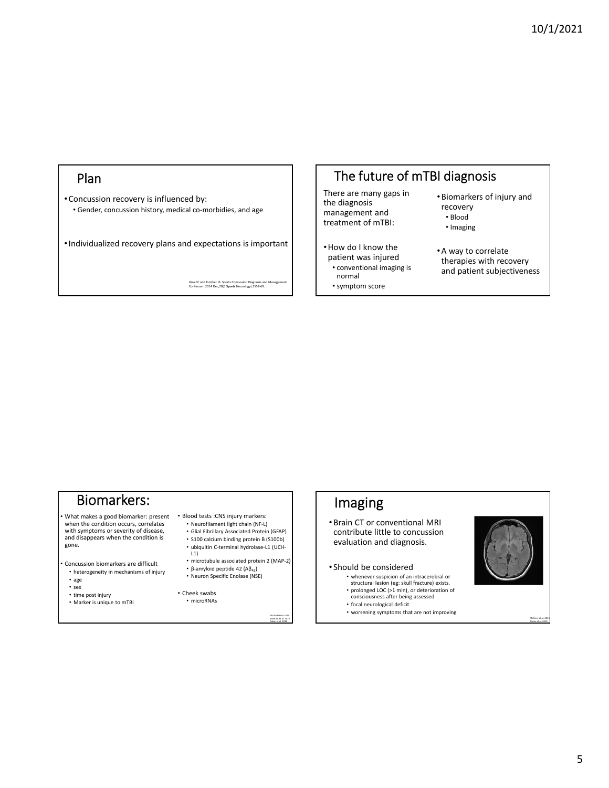#### Plan

• Concussion recovery is influenced by: • Gender, concussion history, medical co‐morbidies, and age

•Individualized recovery plans and expectations is important

Giza CC and Kutcher JS. Sports Concussion Diagnosis and Management Continuum.2014 Dec;20(6 **Sports** Neurology):1552‐69..

# The future of mTBI diagnosis

There are many gaps in the diagnosis management and treatment of mTBI:

- •How do I know the patient was injured • conventional imaging is
	- normal
- •Biomarkers of injury and recovery
	- Blood • Imaging
- •A way to correlate
- therapies with recovery and patient subjectiveness
- symptom score

# Biomarkers:

• What makes a good biomarker: present when the condition occurs, correlates with symptoms or severity of disease, and disappears when the condition is gone.

Concussion biomarkers are difficult • heterogeneity in mechanisms of injury

- 
- age • sex
- time post injury
- Marker is unique to mTBI
- Blood tests :CNS injury markers:
- Neurofilament light chain (NF‐L) • Glial Fibrillary Associated Protein (GFAP)
	- S100 calcium binding protein B (S100b)
	- ubiquitin C‐terminal hydrolase‐L1 (UCH‐  $L1$
	- microtubule associated protein 2 (MAP‐2)
- β-amyloid peptide 42 ( $AB_{42}$ ) • Neuron Specific Enolase (NSE)

• Cheek swabs • microRNAs

> Atif and Hicks 2019 Bazarian et al. 2018 Asken et al. 2018



- worsening symptoms that are not improving
- 



McCrory et al. 2013 Torres et al. 2019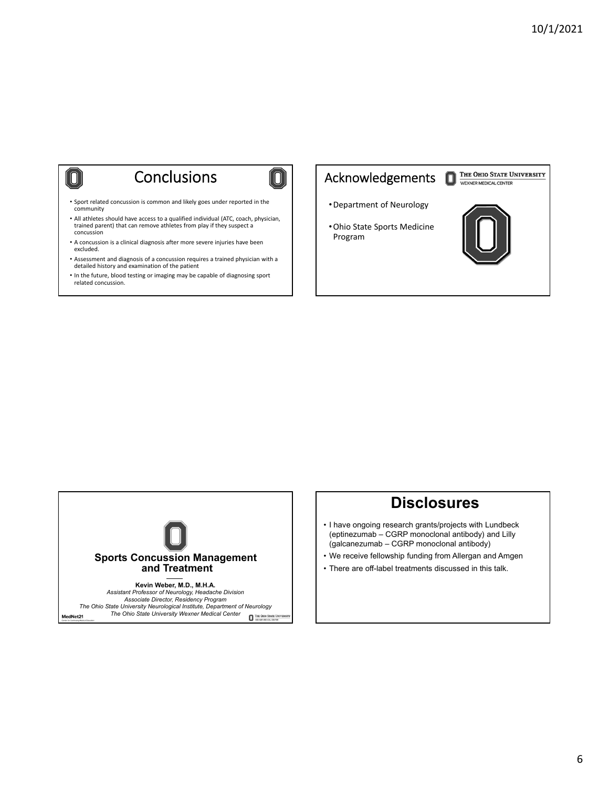# **Conclusions**

0)

 $\boxed{0}$ 

- Sport related concussion is common and likely goes under reported in the community
- All athletes should have access to a qualified individual (ATC, coach, physician, trained parent) that can remove athletes from play if they suspect a concussion
- A concussion is a clinical diagnosis after more severe injuries have been excluded.
- Assessment and diagnosis of a concussion requires a trained physician with a detailed history and examination of the patient
- In the future, blood testing or imaging may be capable of diagnosing sport related concussion.

## Acknowledgements



- •Department of Neurology
- •Ohio State Sports Medicine Program





*The Ohio State University Neurological Institute, Department of Neurology*

*The Ohio State University Wexner Medical Center* MedNet21 THE OHIO STATE UNIV.

## **Disclosures**

- I have ongoing research grants/projects with Lundbeck (eptinezumab – CGRP monoclonal antibody) and Lilly (galcanezumab – CGRP monoclonal antibody)
- We receive fellowship funding from Allergan and Amgen
- There are off-label treatments discussed in this talk.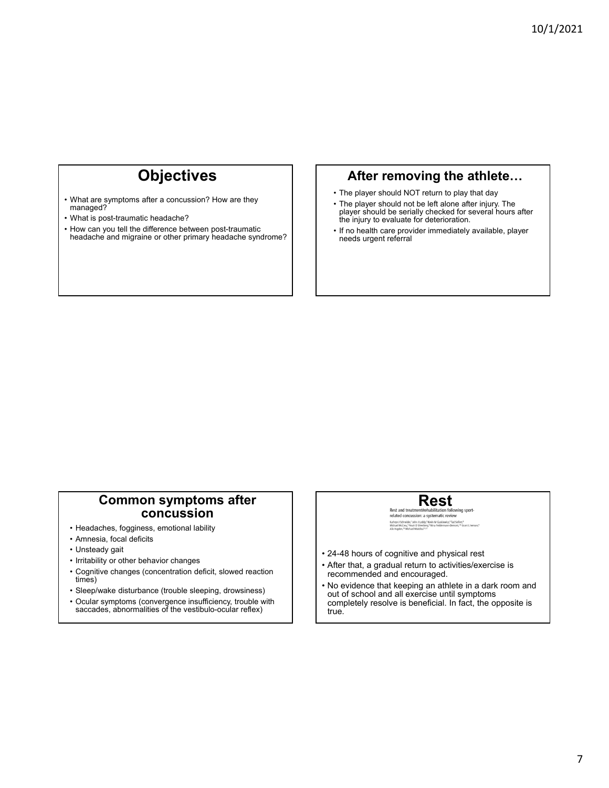# **Objectives**

- What are symptoms after a concussion? How are they managed?
- What is post-traumatic headache?
- How can you tell the difference between post-traumatic headache and migraine or other primary headache syndrome?

### **After removing the athlete…**

- The player should NOT return to play that day
- The player should not be left alone after injury. The player should be serially checked for several hours after the injury to evaluate for deterioration.
- If no health care provider immediately available, player needs urgent referral

## **Common symptoms after concussion**

- Headaches, fogginess, emotional lability
- Amnesia, focal deficits
- Unsteady gait
- Irritability or other behavior changes
- Cognitive changes (concentration deficit, slowed reaction times)
- Sleep/wake disturbance (trouble sleeping, drowsiness)
- Ocular symptoms (convergence insufficiency, trouble with saccades, abnormalities of the vestibulo-ocular reflex)

Rest and treatment/rehabilitation following sport-<br>related concussion: a systematic review Tenated Correlassion: a systematic review<br>Kathyn J Schneide," John J Leddy," Kevin M Guskiewicz," Tad Sellert,"<br>Michael McCrea," Noah D Silverberg," Nina Feddemann-Demont," Grant L Iverson,"<br>Alix Hawlen "! Michael Mainfied

- 24-48 hours of cognitive and physical rest
- After that, a gradual return to activities/exercise is recommended and encouraged.
- No evidence that keeping an athlete in a dark room and out of school and all exercise until symptoms completely resolve is beneficial. In fact, the opposite is true.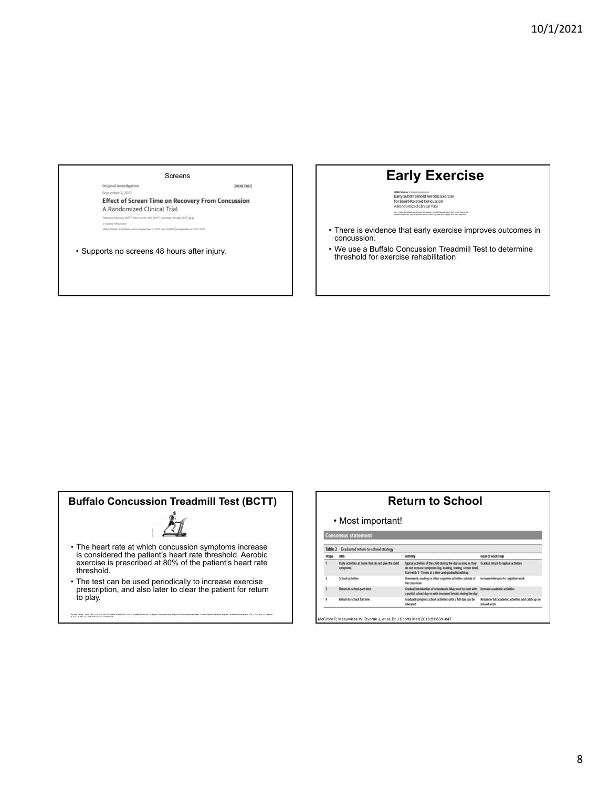Screens

**ONLINE FIRST** 

September 7, 2021 **Effect of Screen Time on Recovery From Concussion** A Randomized Clinical Trial w, MD<sup>1,2</sup>; Te s Curran, MD, MPH<sup>1</sup>; C vev Tolliday, MD<sup>2</sup>; et al mber 7, 2021. doi:10.1001)

• Supports no screens 48 hours after injury.

Original Investigation

# **Early Exercise**

**JAM Political Scientification**<br>
Early Subthreshold Aerobic Exercise<br>
for Sport-Related Concussion<br>
A Randomized Clinical Trial .<br>John J. Leddy, MÖ: Mohammad N. Haider, MÖ: Michael J. Elis, MÖ: Robekoh Marrix, MÖ: Scott R. Darling, MÖ:<br>Michael S. Fraitas, MÖ: Haid N. Suffisiens, MÖ: Jeffilatior, PhD: Daan M. Cordingley, MSc; Barry Willer, PhD

- There is evidence that early exercise improves outcomes in concussion.
- We use a Buffalo Concussion Treadmill Test to determine threshold for exercise rehabilitation

# **Buffalo Concussion Treadmill Test (BCTT)**



- The heart rate at which concussion symptoms increase is considered the patient's heart rate threshold. Aerobic exercise is prescribed at 80% of the patient's heart rate threshold.
- The test can be used periodically to increase exercise prescription, and also later to clear the patient for return to play.

Saurat Leddy, John J. MD, FACSM FACPI; Wiley, Barry PhD2 Use of Graded Esscise Testing in Concussion and Return-to-Activity Management, Cument Sports Medicine Reports: November(December 2013 - Volume 12 - Issue 6 -<br>e 376-3

#### **Return to School**

• Most important!

| Graduated return-to-school strategy<br>Table 2 |                                                                 |                                                                                                                                                                                         |                                                                   |  |  |
|------------------------------------------------|-----------------------------------------------------------------|-----------------------------------------------------------------------------------------------------------------------------------------------------------------------------------------|-------------------------------------------------------------------|--|--|
| Stage                                          | Alm                                                             | <b>Activity</b>                                                                                                                                                                         | Goal of each step                                                 |  |  |
|                                                | Daily activities at home that do not give the child<br>symptoms | Typical activities of the child during the day as long as they<br>do not increase symptoms (eq. reading, texting, screen time).<br>Start with 5-15 min at a time and gradually build up | Gradual return to typical activities                              |  |  |
|                                                | School activities                                               | Homework, reading or other cognitive activities outside of<br>the classroom                                                                                                             | Increase tolerance to cognitive work                              |  |  |
| $\overline{3}$                                 | Return to school part-time                                      | Gradual introduction of schoolwork. May need to start with<br>a partial school day or with increased breaks during the day                                                              | Increase academic activities                                      |  |  |
| 4                                              | Return to school full time                                      | Gradually progress school activities until a full day can be<br>tolerated                                                                                                               | Return to full academic activities and catch up on<br>missed work |  |  |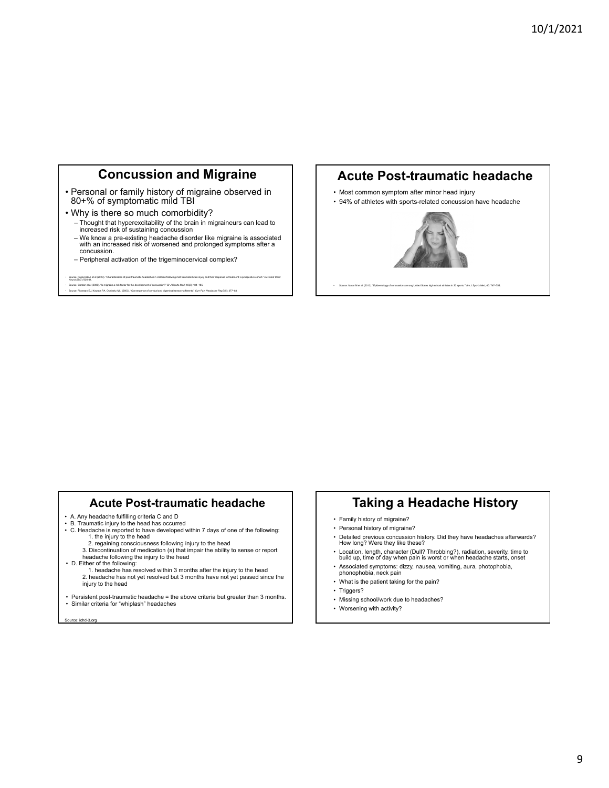## **Concussion and Migraine**

- Personal or family history of migraine observed in 80+% of symptomatic mild TBI
- Why is there so much comorbidity?
	- ‒ Thought that hyperexcitability of the brain in migraineurs can lead to increased risk of sustaining concussion
	- ‒ We know a pre-existing headache disorder like migraine is associated with an increased risk of worsened and prolonged symptoms after a concussion.
	- ‒ Peripheral activation of the trigeminocervical complex?

#### - Source: Kuczynaki A et al (2013). "Characteristics of post-traumatic headaches in children following mild traumatic brain injury and their response to treatment: a prospective cohort." Dev Med Child<br>- Neurol;55(7): 636-4

#### • Source: Gordon et al (2006). "Is migraine a risk factor for the development of concussion?" Br J Sports Med; 40(2): 184–185.<br>• Source: Plovesan EJ, Kowacs PA, Oshinsky ML. (2003). "Convergence of cenvical and trigeminal

#### **Acute Post-traumatic headache**

- Most common symptom after minor head injury
- 94% of athletes with sports-related concussion have headache



• Source: Marar M et al. (2012). "Epidemiology of concussions among United States high school athletes in 20 sports*." Am J Sports Med*; 40: 747–755.

#### **Acute Post-traumatic headache**

- 
- A. Any headache fulfilling criteria C and D B. Traumatic injury to the head has occurred
- C. Headache is reported to have developed within 7 days of one of the following: 1. the injury to the head
	- 2. regaining consciousness following injury to the head

3. Discontinuation of medication (s) that impair the ability to sense or report headache following the injury to the head

- 
- D. Either of the following: 1. headache has resolved within 3 months after the injury to the head 2. headache has not yet resolved but 3 months have not yet passed since the injury to the head
- Persistent post-traumatic headache = the above criteria but greater than 3 months. • Similar criteria for "whiplash" headaches

se: ichd-3.org

## **Taking a Headache History**

- Family history of migraine?
- Personal history of migraine?
- Detailed previous concussion history. Did they have headaches afterwards? How long? Were they like these?
- Location, length, character (Dull? Throbbing?), radiation, severity, time to build up, time of day when pain is worst or when headache starts, onset
- Associated symptoms: dizzy, nausea, vomiting, aura, photophobia, phonophobia, neck pain
- What is the patient taking for the pain?
- Triggers?
- Missing school/work due to headaches?
- Worsening with activity?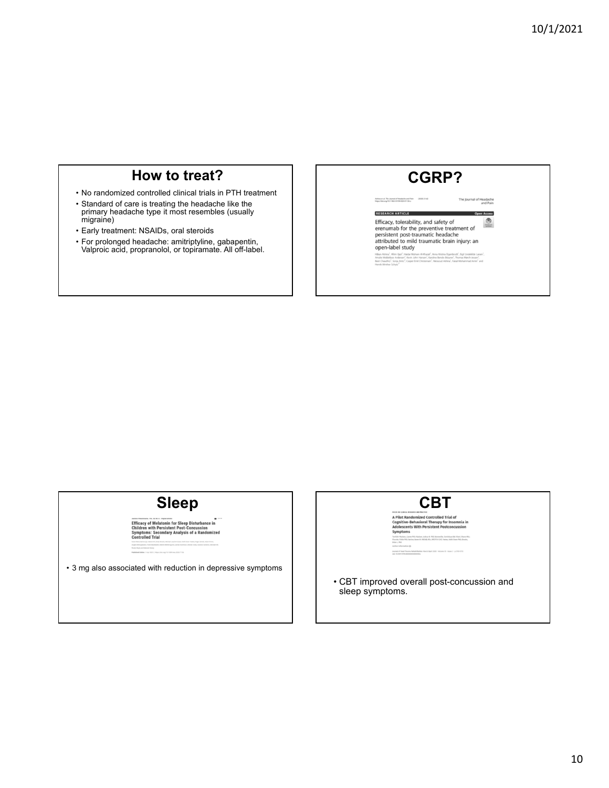## **How to treat?**

• No randomized controlled clinical trials in PTH treatment

- Standard of care is treating the headache like the primary headache type it most resembles (usually migraine)
- Early treatment: NSAIDs, oral steroids
- For prolonged headache: amitriptyline, gabapentin, Valproic acid, propranolol, or topiramate. All off-label.

| <b>CGRP?</b> |
|--------------|
|--------------|

rnal of Headache<br>and Pain

The Jou

Ashina et al. The Journal of Headache and Pain (2020) 21:62<br>https://doi.org/10.1186/s10194-020-01136-z

**RESEARCH ARTICLE** Access Efficacy, tolerability, and safety of  $\bigcirc$ Einclacy, toretabliny, and safety<br>persiment for persentive treatment of<br>persistent post-traumatic headache<br>attributed to mild traumatic brain injury: an<br>open-label study genbrodt<sup>1</sup>, Eigil Lindekilde Larsen<sup>1</sup>,<br>uner<sup>1</sup>, Thomas Mørch-Jessen<sup>1</sup>,<br>u<sup>1</sup>, Faisal Mohammad Amin<sup>1</sup> and Hâlan Ashina<sup>1</sup>, Afrim Iljazi<sup>1</sup>, Haidar Muhse<br>Amalie Middelboe Andersen<sup>1</sup>, Kevin John<br>Basit Chaudhry<sup>1</sup>, Sonja Antic<sup>2</sup>, Casper Emi

# **Sleep**

• 3 mg also associated with reduction in depressive symptoms

**CONSUMING THE SET OF STATE OF STATE OF STATE OF STATE AND ADDRESS AND ADDRESS ASSOCIATE**<br>
Cognitive-Behavioral Therapy for insomnia in<br>
Adolescents With Persistent Postconcussion<br>
Symptoms

• CBT improved overall post-concussion and sleep symptoms.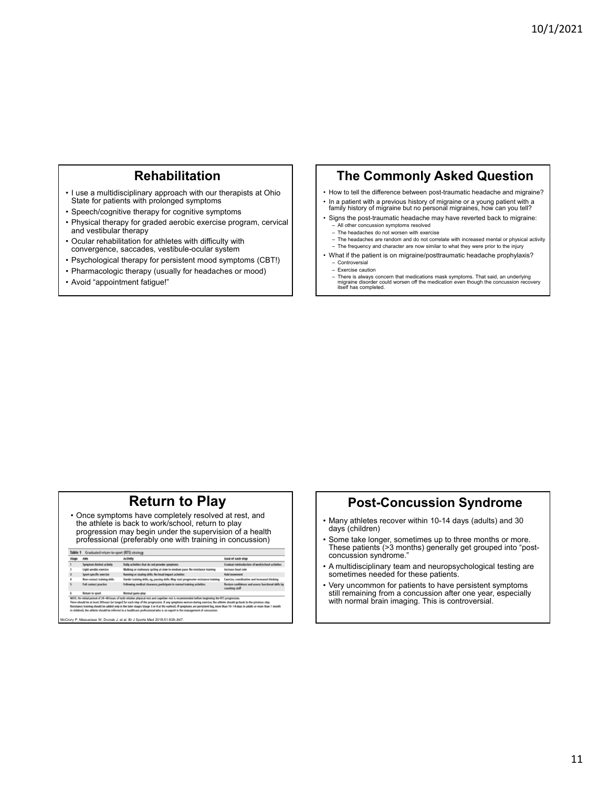## **Rehabilitation**

- I use a multidisciplinary approach with our therapists at Ohio State for patients with prolonged symptoms
- Speech/cognitive therapy for cognitive symptoms
- Physical therapy for graded aerobic exercise program, cervical and vestibular therapy
- Ocular rehabilitation for athletes with difficulty with convergence, saccades, vestibule-ocular system
- Psychological therapy for persistent mood symptoms (CBT!)
- Pharmacologic therapy (usually for headaches or mood)
- Avoid "appointment fatigue!"

#### **The Commonly Asked Question**

- How to tell the difference between post-traumatic headache and migraine?
- In a patient with a previous history of migraine or a young patient with a family history of migraine but no personal migraines, how can you tell? • Signs the post-traumatic headache may have reverted back to migraine:
- All other concussion symptoms resolved ‒ The headaches do not worsen with exercise
	-
- ‒ The headaches are random and do not correlate with increased mental or physical activity - The frequency and character are now similar to what they were prior to the injury
- What if the patient is on migraine/posttraumatic headache prophylaxis?
	- ‒ Controversial
	- ‒ Exercise caution
	- ‒ There is always concern that medications mask symptoms. That said, an underlying migraine disorder could worsen off the medication even though the concussion recovery itself has completed.

## **Return to Play**

• Once symptoms have completely resolved at rest, and the athlete is back to work/school, return to play progression may begin under the supervision of a health professional (preferably one with training in concussion)

| Stage | Alm                          | <b>Activity</b>                                                                                                                                                                                                                                                                                                                                                                                                                                                                                                                                                                                                                              | Goal of each step                                                    |
|-------|------------------------------|----------------------------------------------------------------------------------------------------------------------------------------------------------------------------------------------------------------------------------------------------------------------------------------------------------------------------------------------------------------------------------------------------------------------------------------------------------------------------------------------------------------------------------------------------------------------------------------------------------------------------------------------|----------------------------------------------------------------------|
|       | Symptom-limited activity     | Daily activities that do not provoke symptoms                                                                                                                                                                                                                                                                                                                                                                                                                                                                                                                                                                                                | Gradual reintroduction of work/school activities                     |
|       | Light aerobic exercise       | Walking or stationary cycling at slow to medium pace. No resistance training                                                                                                                                                                                                                                                                                                                                                                                                                                                                                                                                                                 | Increase heart rate                                                  |
|       | Sport-specific exercise      | Running or skating drills. No head impact activities                                                                                                                                                                                                                                                                                                                                                                                                                                                                                                                                                                                         | Add movement                                                         |
|       | Non-contact training drills  | Harder training drills, eg, passing drills. May start progressive resistance training                                                                                                                                                                                                                                                                                                                                                                                                                                                                                                                                                        | Exercise, coordination and increased thinking                        |
|       | <b>Full contact practice</b> | Following medical clearance, participate in normal training activities                                                                                                                                                                                                                                                                                                                                                                                                                                                                                                                                                                       | Restore confidence and assess functional skills by<br>coaching staff |
|       | Return to sport              | Normal game play                                                                                                                                                                                                                                                                                                                                                                                                                                                                                                                                                                                                                             |                                                                      |
|       |                              | NOTE: An initial period of 24-48 hours of both relative physical rest and cognitive rest is recommended before beginning the RTS progression.<br>There should be at least 24 hours (or longer) for each step of the progression. If any symptoms worsen during exercise, the athlete should go back to the previous step.<br>Resistance training should be added only in the later stages (stage 3 or 4 at the earliest). If symptoms are persistent (eq. more than 10-14 days in adults or more than 1 month<br>in children), the athlete should be referred to a healthcare professional who is an expert in the management of concussion. |                                                                      |

## **Post-Concussion Syndrome**

- Many athletes recover within 10-14 days (adults) and 30 days (children)
- Some take longer, sometimes up to three months or more. These patients (>3 months) generally get grouped into "postconcussion syndrome."
- A multidisciplinary team and neuropsychological testing are sometimes needed for these patients.
- Very uncommon for patients to have persistent symptoms still remaining from a concussion after one year, especially with normal brain imaging. This is controversial.